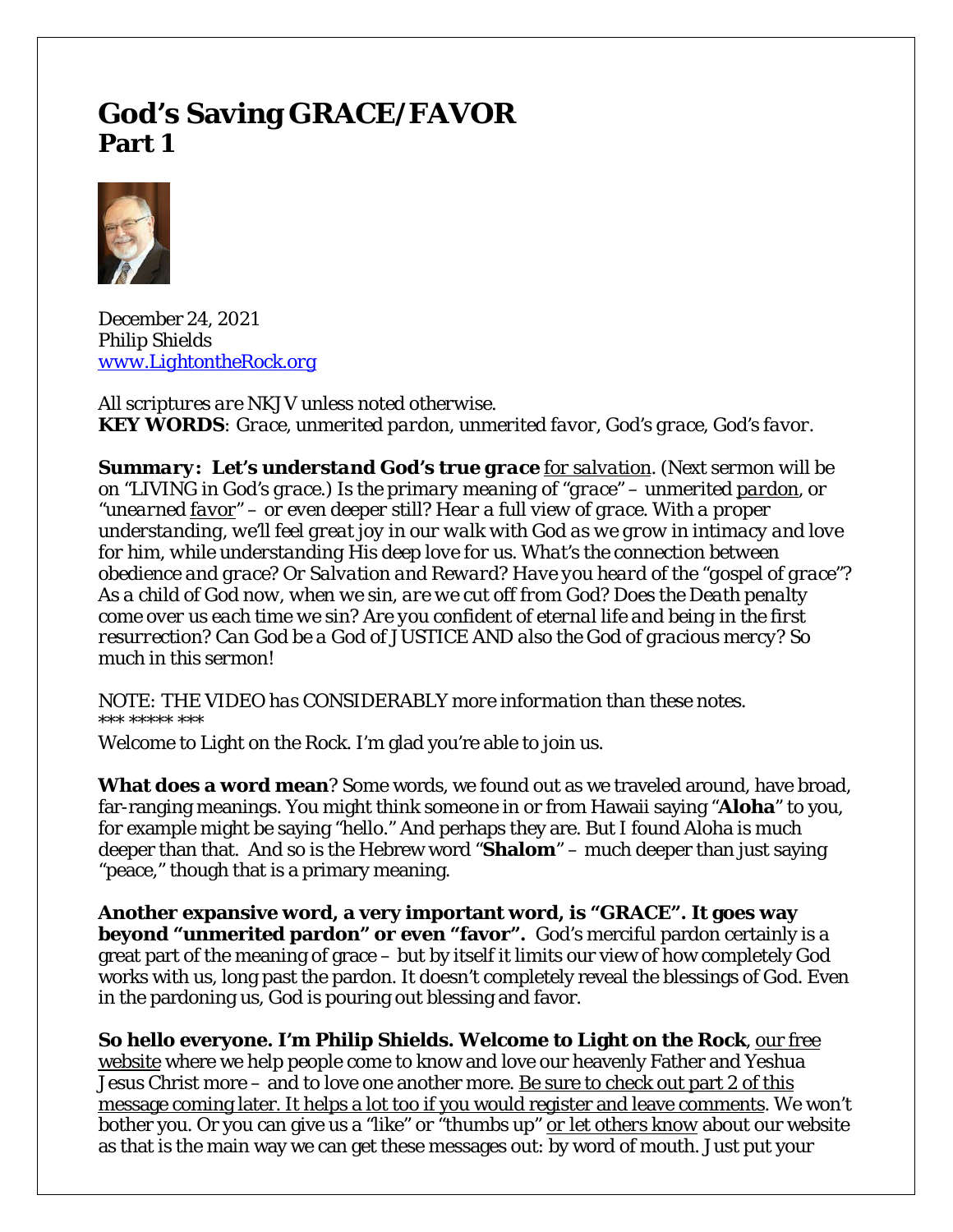# **God's Saving GRACE/FAVOR Part 1**



December 24, 2021 *Philip Shields [www.LightontheRock.org](http://www.lightontherock.org/)*

*All scriptures are NKJV unless noted otherwise. KEY WORDS: Grace, unmerited pardon, unmerited favor, God's grace, God's favor.*

*Summary: Let's understand God's true grace for salvation. (Next sermon will be on "LIVING in God's grace.) Is the primary meaning of "grace" – unmerited pardon, or "unearned favor" – or even deeper still? Hear a full view of grace. With a proper understanding, we'll feel great joy in our walk with God as we grow in intimacy and love for him, while understanding His deep love for us. What's the connection between obedience and grace? Or Salvation and Reward? Have you heard of the "gospel of grace"? As a child of God now, when we sin, are we cut off from God? Does the Death penalty come over us each time we sin? Are you confident of eternal life and being in the first resurrection? Can God be a God of JUSTICE AND also the God of gracious mercy? So much in this sermon!* 

*NOTE: THE VIDEO has CONSIDERABLY more information than these notes. \*\*\* \*\*\*\*\* \*\*\**

Welcome to Light on the Rock. I'm glad you're able to join us.

**What does a word mean**? Some words, we found out as we traveled around, have broad, far-ranging meanings. You might think someone in or from Hawaii saying "**Aloha**" to you, for example might be saying "hello." And perhaps they are. But I found Aloha is much deeper than that. And so is the Hebrew word "**Shalom**" – much deeper than just saying "peace," though that is a primary meaning.

**Another expansive word, a very important word, is "GRACE". It goes way beyond "unmerited pardon" or even "favor".** God's merciful pardon certainly is a great part of the meaning of grace – but by itself it limits our view of how completely God works with us, long past the pardon. It doesn't completely reveal the blessings of God. Even in the pardoning us, God is pouring out blessing and favor.

**So hello everyone. I'm Philip Shields. Welcome to Light on the Rock**, our free website where we help people come to know and love our heavenly Father and Yeshua Jesus Christ more – and to love one another more. Be sure to check out part 2 of this message coming later. It helps a lot too if you would register and leave comments. We won't bother you. Or you can give us a "like" or "thumbs up" *or let others know* about our website as that is the main way we can get these messages out: by word of mouth. Just put your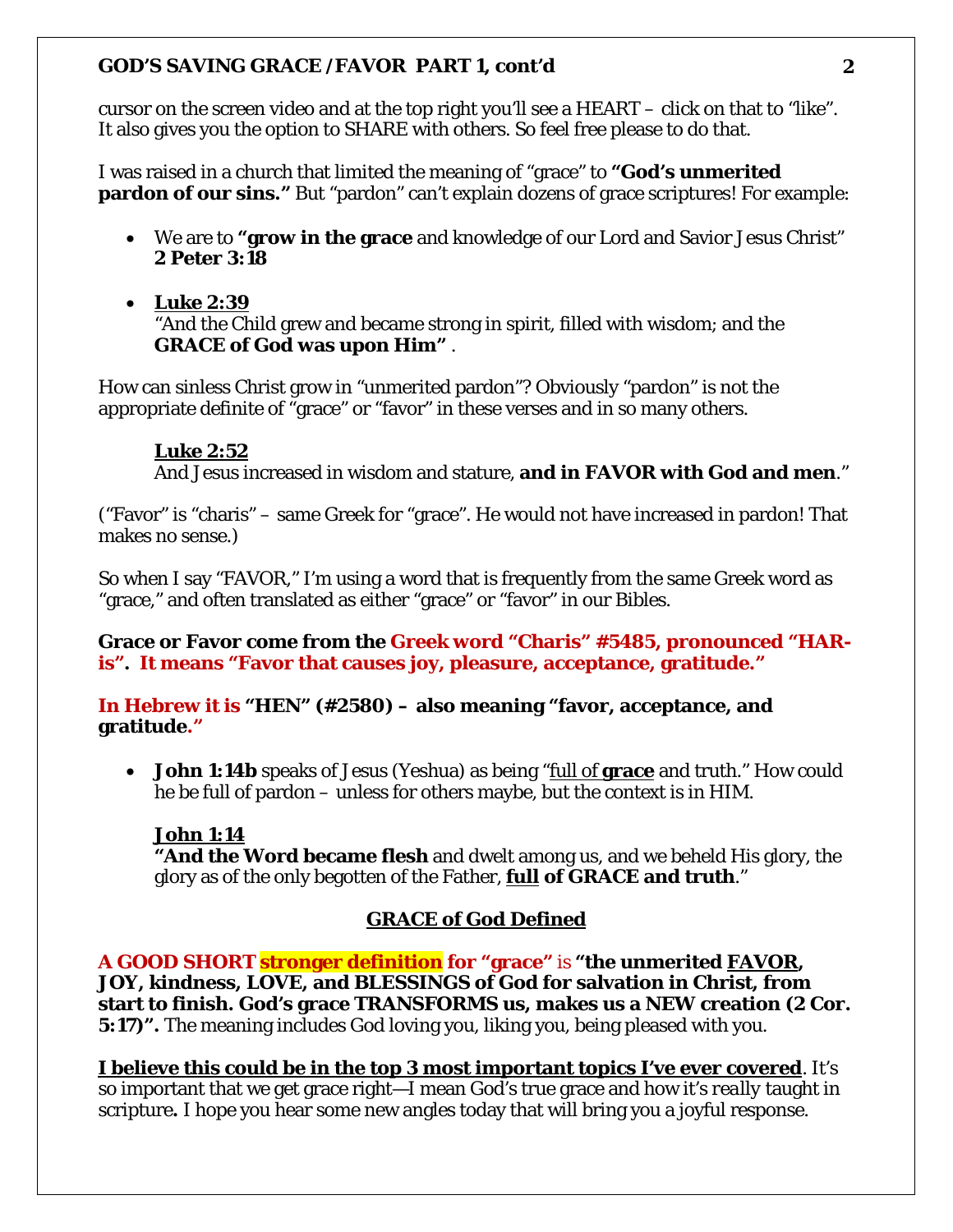cursor on the screen video and at the top right you'll see a HEART – click on that to "like". It also gives you the option to SHARE with others. So feel free please to do that.

I was raised in a church that limited the meaning of "grace" to **"God's unmerited pardon of our sins."** But "pardon" can't explain dozens of grace scriptures! For example:

- We are to **"grow in the grace** and knowledge of our Lord and Savior Jesus Christ" **2 Peter 3:18**
- **Luke 2:39**  "And the Child grew and became strong in spirit, filled with wisdom; and the **GRACE of God was upon Him"** .

How can sinless Christ grow in "unmerited pardon"? Obviously "pardon" is not the appropriate definite of "grace" or "favor" in these verses and in so many others.

#### **Luke 2:52**

And Jesus increased in wisdom and stature, **and in FAVOR with God and men**."

("Favor" is "charis" – same Greek for "grace". He would not have increased in pardon! That makes no sense.)

So when I say "FAVOR," I'm using a word that is frequently from the same Greek word as "grace," and often translated as either "grace" or "favor" in our Bibles.

**Grace or Favor come from the Greek word "Charis" #5485, pronounced "HARis". It means "Favor that causes joy, pleasure, acceptance, gratitude."**

**In Hebrew it is "HEN" (#2580) – also meaning "favor, acceptance, and gratitude."**

• **John 1:14b** speaks of Jesus (Yeshua) as being "full of **grace** and truth." How could he be full of pardon – unless for others maybe, but the context is in HIM.

# **John 1:14**

**"And the Word became flesh** and dwelt among us, and we beheld His glory, the glory as of the only begotten of the Father, *full* **of GRACE and truth**."

# **GRACE of God Defined**

**A GOOD SHORT stronger definition for "grace"** is **"the unmerited** *FAVOR***, JOY, kindness, LOVE, and BLESSINGS of God for salvation in Christ, from start to finish. God's grace TRANSFORMS us, makes us a NEW creation (2 Cor. 5:17)".** The meaning includes God loving you, liking you, being pleased with you.

**I believe this could be in the top 3 most important topics I've ever covered**. It's so important that we get grace right—I mean God's true grace and how it's *really* taught in scripture**.** I hope you hear some new angles today that will bring you a joyful response.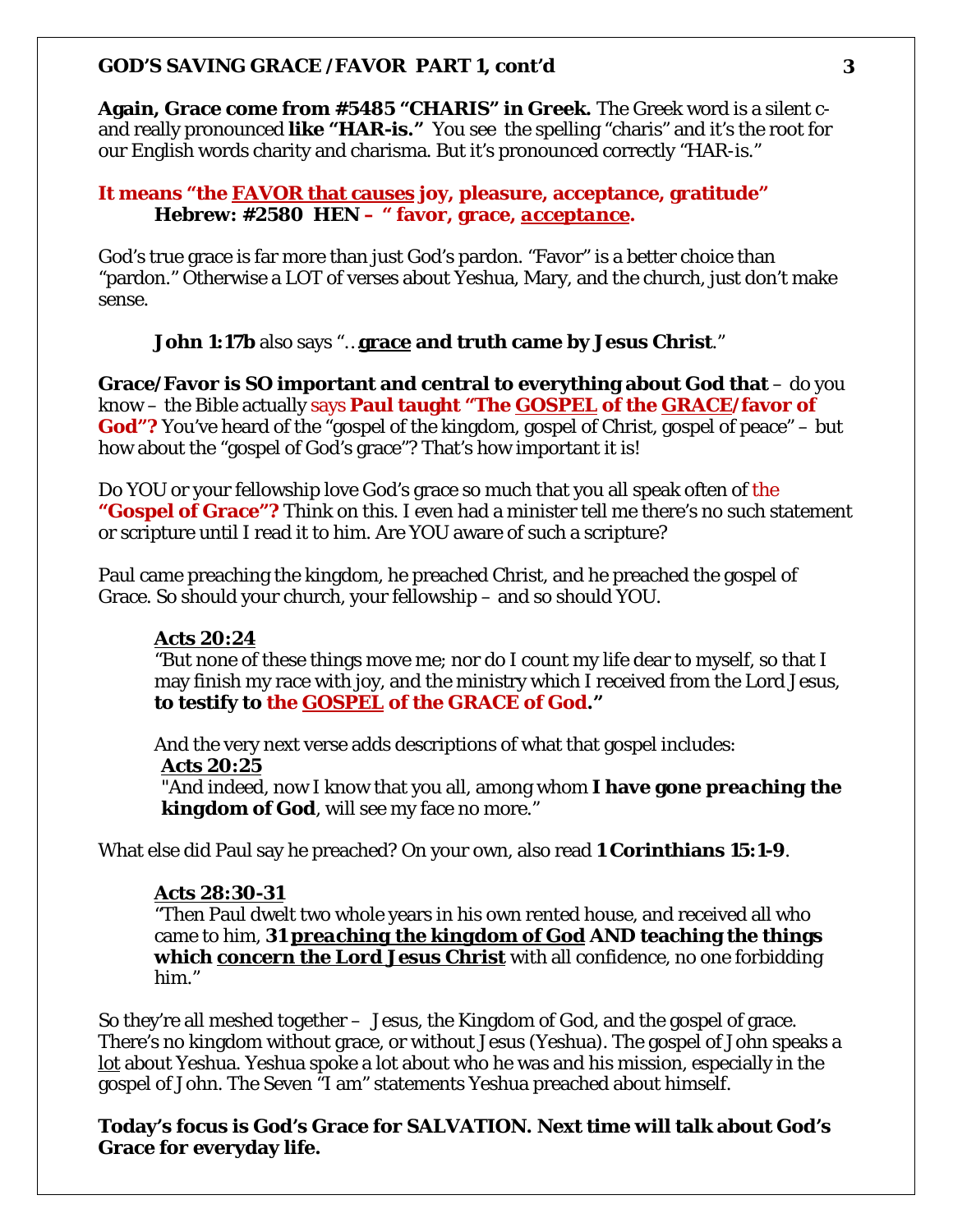**Again, Grace come from #5485 "CHARIS" in Greek.** The Greek word is a silent cand really pronounced **like "HAR-is."** You see the spelling "charis" and it's the root for our English words charity and charisma. But it's pronounced correctly "HAR-is."

# **It means "the FAVOR that causes joy, pleasure, acceptance, gratitude" Hebrew: #2580 HEN – " favor, grace,** *acceptance***.**

God's true grace is far more than just God's pardon. "Favor" is a better choice than "pardon." Otherwise a LOT of verses about Yeshua, Mary, and the church, just don't make sense.

# **John 1:17b** also says "…**grace and truth came by Jesus Christ**."

**Grace/Favor is SO important and central to everything about God that** – do you know – the Bible actually says **Paul taught "The** *GOSPEL* **of the** *GRACE***/favor of**  God"? You've heard of the "gospel of the kingdom, gospel of Christ, gospel of peace" – but how about the "gospel of God's grace"? That's how important it is!

Do YOU or your fellowship love God's grace so much that you all speak often of the **"Gospel of Grace"?** Think on this. I even had a minister tell me there's no such statement or scripture until I read it to him. Are YOU aware of such a scripture?

Paul came preaching the kingdom, he preached Christ, and he preached the gospel of Grace. So should your church, your fellowship – and so should YOU.

#### **Acts 20:24**

"But none of these things move me; nor do I count my life dear to myself, so that I may finish my race with joy, and the ministry which I received from the Lord Jesus, **to testify to the GOSPEL of the GRACE of God."**

And the very next verse adds descriptions of what that gospel includes: **Acts 20:25**

"And indeed, now I know that you all, among whom **I have gone** *preaching the kingdom of God*, will see my face no more."

What else did Paul say he preached? On your own, also read **1 Corinthians 15:1-9**.

#### **Acts 28:30-31**

"Then Paul dwelt two whole years in his own rented house, and received all who came to him, **31** *preaching the kingdom of God* **AND teaching the things which** *concern the Lord Jesus Christ* with all confidence, no one forbidding him."

So they're all meshed together – Jesus, the Kingdom of God, and the gospel of grace. There's no kingdom without grace, or without Jesus (Yeshua). The gospel of John speaks a *lot* about Yeshua. Yeshua spoke a lot about who he was and his mission, especially in the gospel of John. The Seven "I am" statements Yeshua preached about himself.

**Today's focus is God's Grace for SALVATION. Next time will talk about God's Grace for everyday life.**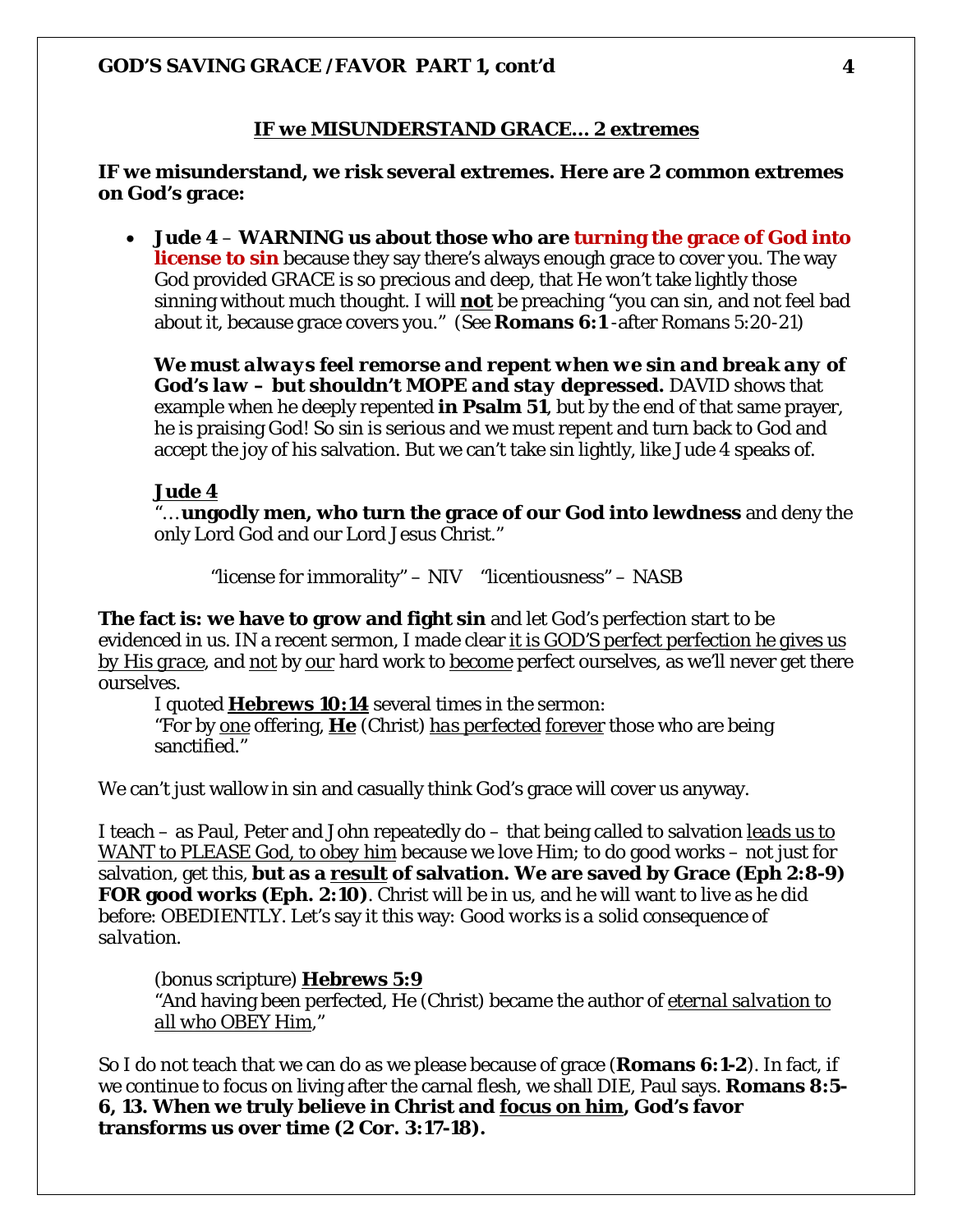#### **IF we MISUNDERSTAND GRACE… 2 extremes**

#### **IF we misunderstand, we risk several extremes. Here are 2 common extremes on God's grace:**

• **Jude 4** – **WARNING us about those who are turning the grace of God into license to sin** because they say there's always enough grace to cover you. The way God provided GRACE is so precious and deep, that He won't take lightly those sinning without much thought. I will *not* be preaching "you can sin, and not feel bad about it, because grace covers you." (See **Romans 6:1** -after Romans 5:20-21)

*We must always feel remorse and repent when we sin and break any of God's law – but shouldn't MOPE and stay depressed.* DAVID shows that example when he deeply repented **in Psalm 51**, but by the end of that same prayer, he is praising God! So sin is serious and we must repent and turn back to God and accept the joy of his salvation. But we can't take sin lightly, like Jude 4 speaks of.

#### **Jude 4**

"… **ungodly men, who turn the grace of our God into lewdness** and deny the only Lord God and our Lord Jesus Christ."

"license for immorality" – NIV "licentiousness" – NASB

**The fact is: we have to grow and fight sin** and let God's perfection start to be evidenced in us. IN a recent sermon, I made clear *it is GOD'S perfect perfection he gives us by His grace*, and *not* by *our* hard work to *become* perfect ourselves, as we'll never get there ourselves.

I quoted **Hebrews 10:14** several times in the sermon: "For by one offering, **He** (Christ) *has perfected* forever those who are being sanctified."

We can't just wallow in sin and casually think God's grace will cover us anyway.

I teach – as Paul, Peter and John repeatedly do – that being called to salvation *leads us to WANT to PLEASE God, to obey him* because we love Him; to do good works – not just for salvation, get this, **but as a** *result* **of salvation. We are saved by Grace (Eph 2:8-9) FOR good works (Eph. 2:10)**. Christ will be in us, and he will want to live as he did before: OBEDIENTLY. Let's say it this way: *Good works is a solid consequence of salvation.*

(bonus scripture) **Hebrews 5:9**

"And having been perfected, He (Christ) became the author of *eternal salvation to all who OBEY Him*,"

So I do not teach that we can do as we please because of grace (**Romans 6:1-2**). In fact, if we continue to focus on living after the carnal flesh, we shall DIE, Paul says. **Romans 8:5- 6, 13. When we truly believe in Christ and focus on him, God's favor transforms us over time (2 Cor. 3:17-18).**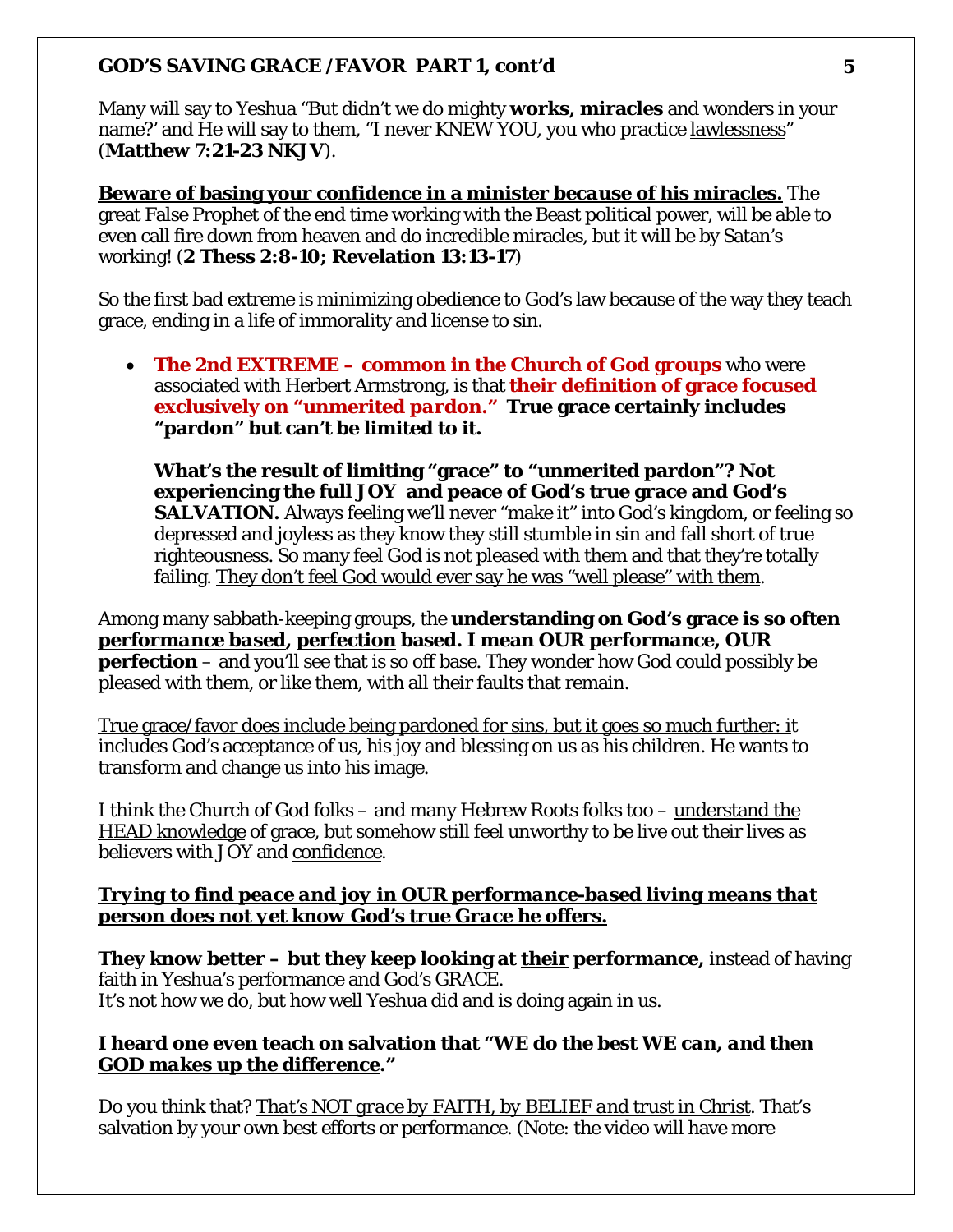Many will say to Yeshua "But didn't we do mighty **works, miracles** and wonders in your name?' and He will say to them, "I never KNEW YOU, you who practice lawlessness" (**Matthew 7:21-23 NKJV**).

**Beware of basing your confidence in a minister** *because* **of his miracles.** The great False Prophet of the end time working with the Beast political power, will be able to even call fire down from heaven and do incredible miracles, but it will be by Satan's working! (**2 Thess 2:8-10; Revelation 13:13-17**)

So the first bad extreme is minimizing obedience to God's law because of the way they teach grace, ending in a life of immorality and license to sin.

• **The 2nd EXTREME – common in the Church of God groups** who were associated with Herbert Armstrong, is that **their definition of grace focused exclusively on "unmerited** *pardon***." True grace certainly** *includes* **"pardon" but can't be limited to it.** 

**What's the result of limiting "grace" to "unmerited pardon"? Not experiencing the full JOY and peace of God's true grace and God's SALVATION.** Always feeling we'll never "make it" into God's kingdom, or feeling so depressed and joyless as they know they still stumble in sin and fall short of true righteousness. So many feel God is not pleased with them and that they're totally failing. They don't feel God would ever say he was "well please" with them.

Among many sabbath-keeping groups, the **understanding on God's grace is so often** *performance based***, perfection based. I mean OUR performance, OUR perfection** – and you'll see that is so off base. They wonder how God could possibly be pleased with them, or like them, with all their faults that remain.

True grace/favor *does* include being pardoned for sins, but it goes so much further: it includes God's acceptance of us, his joy and blessing on us as his children. He wants to transform and change us into his image.

I think the Church of God folks – and many Hebrew Roots folks too – understand the HEAD knowledge of grace, but somehow still feel unworthy to be live out their lives as believers with JOY and *confidence*.

# *Trying to find peace and joy in OUR performance-based living means that person does not yet know God's true Grace he offers.*

**They know better – but they keep looking at** *their* **performance,** instead of having faith in Yeshua's performance and God's GRACE. It's not how we do, but how well Yeshua did and is doing again in us.

# **I heard one even teach on salvation that** *"WE do the best WE can, and then GOD makes up the difference."*

Do you think that? *That's NOT grace by FAITH, by BELIEF and trust in Christ*. That's salvation by your own best efforts or performance. (Note: the video will have more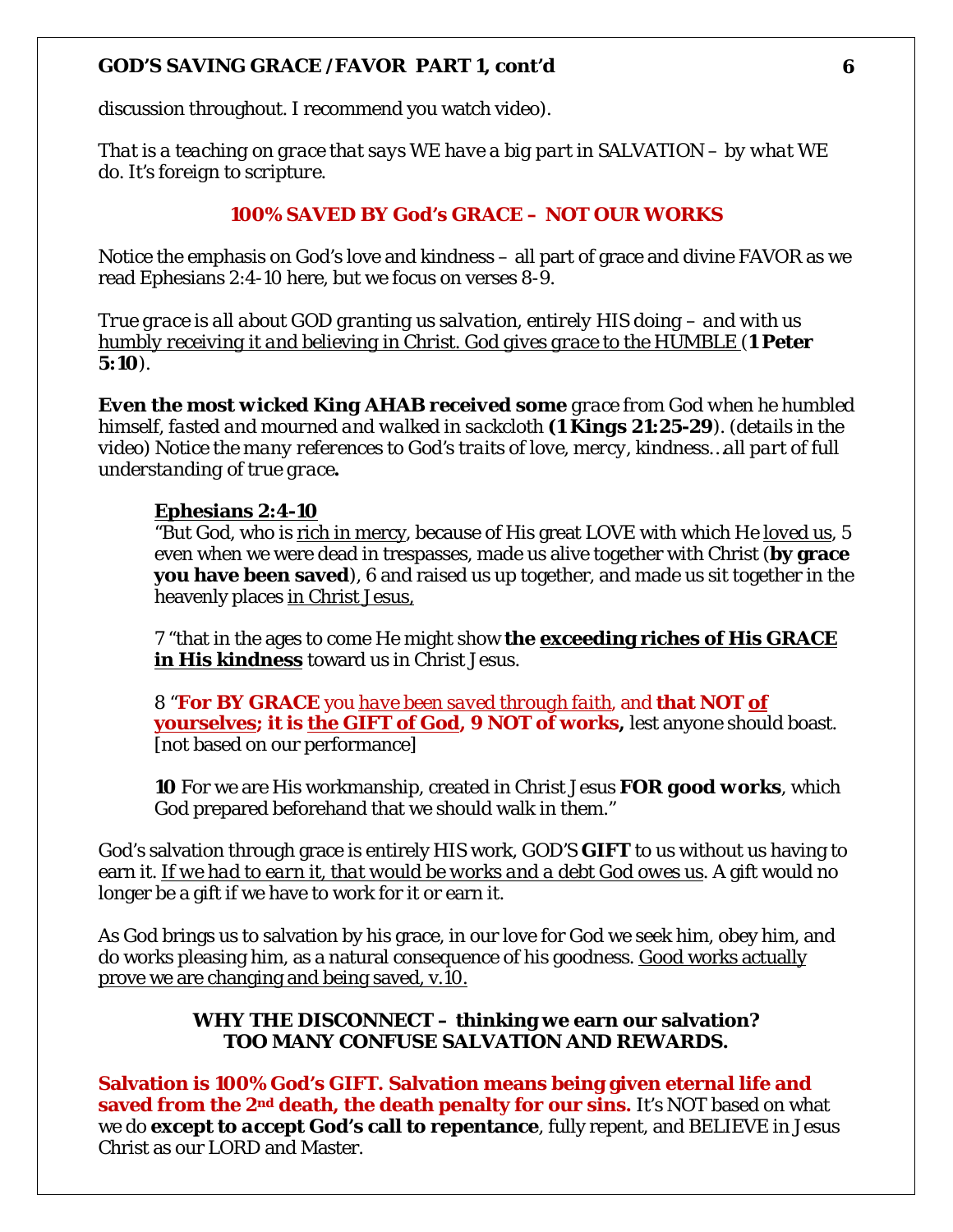discussion throughout. I recommend you watch video).

*That is a teaching on grace that says WE have a big part in SALVATION – by what WE do. It's foreign to scripture.*

#### **100% SAVED BY God's GRACE – NOT OUR WORKS**

Notice the emphasis on God's love and kindness – all part of grace and divine FAVOR as we read Ephesians 2:4-10 here, but we focus on verses 8-9.

*True grace is all about GOD granting us salvation, entirely HIS doing – and with us humbly receiving it and believing in Christ. God gives grace to the HUMBLE (1 Peter 5:10).* 

*Even the most wicked King AHAB received some grace from God when he humbled himself, fasted and mourned and walked in sackcloth (1 Kings 21:25-29). (details in the video) Notice the many references to God's traits of love, mercy, kindness…all part of full understanding of true grace.*

#### **Ephesians 2:4-10**

"But God, who is rich in mercy, because of His great LOVE with which He *loved us*, 5 even when we were dead in trespasses, made us alive together with Christ (**by grace you have been saved**), 6 and raised us up together, and made us sit together in the heavenly places in Christ Jesus,

7 "that in the ages to come He might show **the exceeding riches of His GRACE in His kindness** toward us in Christ Jesus.

8 "**For BY GRACE** you *have been saved through faith*, and **that NOT of yourselves; it is the GIFT of God, 9 NOT of works,** lest anyone should boast. [not based on our performance]

**10** For we are His workmanship, created in Christ Jesus *FOR good works*, which God prepared beforehand that we should walk in them."

God's salvation through grace is entirely HIS work, *GOD'S* **GIFT** to us without us having to earn it. *If we had to earn it, that would be works and a debt God owes us*. A gift would no longer be a gift if we have to work for it or earn it.

As God brings us to salvation by his grace, in our love for God we seek him, obey him, and do works pleasing him, as a natural consequence of his goodness. Good works actually prove we are changing and being saved, v.10.

### **WHY THE DISCONNECT – thinking we earn our salvation? TOO MANY CONFUSE SALVATION AND REWARDS.**

**Salvation is 100% God's GIFT. Salvation means being given eternal life and saved from the 2nd death, the death penalty for our sins.** It's NOT based on what we do **except to** *accept* **God's call to repentance**, fully repent, and BELIEVE in Jesus Christ as our LORD and Master.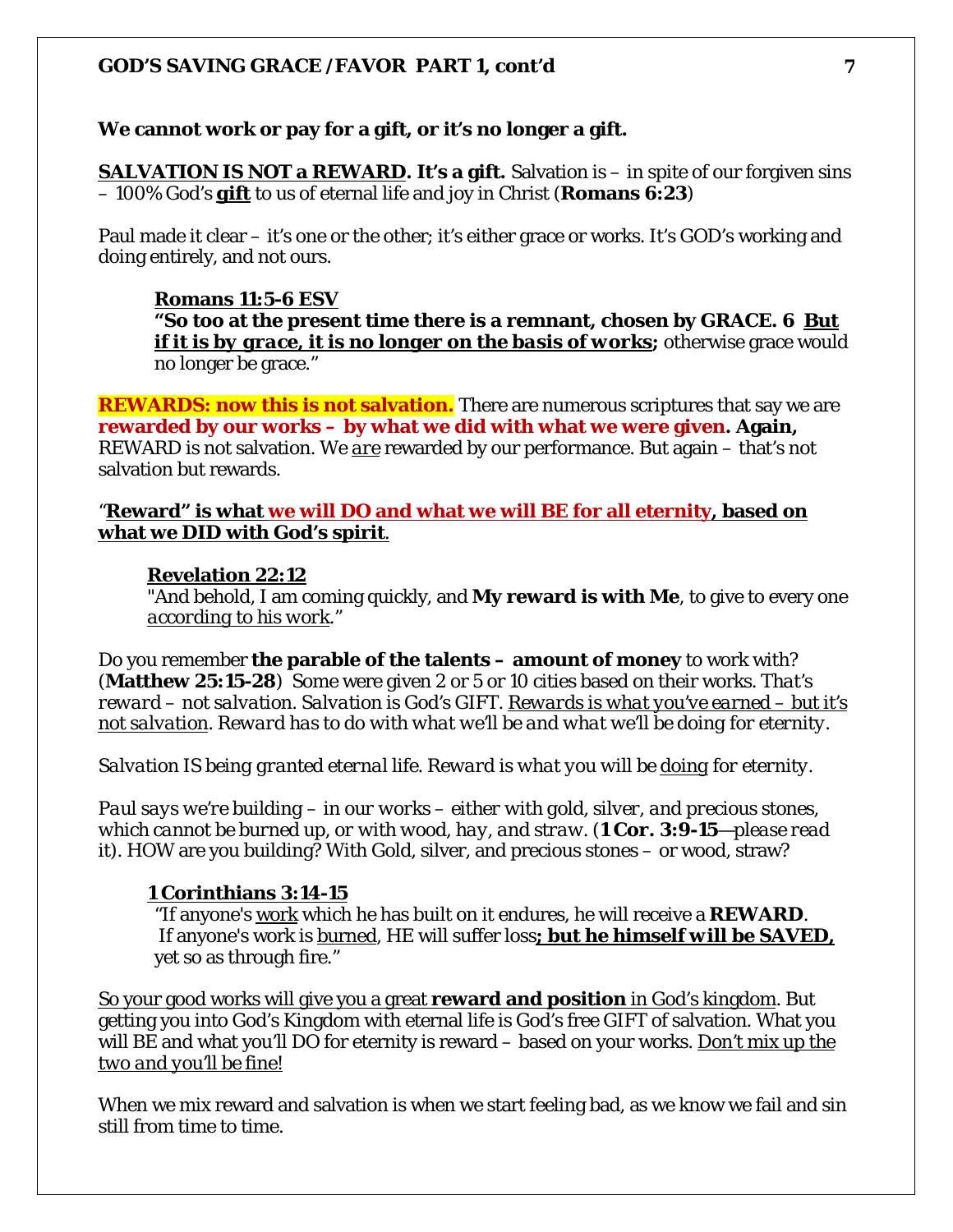#### **We cannot work or pay for a gift, or it's no longer a gift.**

**SALVATION IS NOT a REWARD. It's a gift.** Salvation is – in spite of our forgiven sins – 100% God's *gift* to us of eternal life and joy in Christ (**Romans 6:23**)

Paul made it clear – it's one or the other; it's either grace or works. It's GOD's working and doing entirely, and not ours.

#### **Romans 11:5-6 ESV**

**"So too at the present time there is a remnant, chosen by GRACE. 6** *But if it is by grace, it is no longer on the basis of works***; otherwise grace would** no longer be grace."

**REWARDS: now this is not salvation.** There are numerous scriptures that say we are **rewarded by our works – by what we did with what we were given. Again,** REWARD is not salvation. We *are* rewarded by our performance. But again – that's not salvation but rewards.

#### "**Reward" is what we will DO and what we will BE for all eternity, based on what we DID with God's spirit**.

#### **Revelation 22:12**

"And behold, I am coming quickly, and **My reward is with Me**, to give to every one *according to his work*."

Do you remember **the parable of the talents – amount of money** to work with? (**Matthew 25:15-28**) Some were given 2 or 5 or 10 cities based on their works. *That's reward – not salvation. Salvation is God's GIFT. Rewards is what you've earned – but it's not salvation. Reward has to do with what we'll be and what we'll be doing for eternity.* 

*Salvation IS being granted eternal life. Reward is what you will be doing for eternity.*

*Paul says we're building – in our works – either with gold, silver, and precious stones, which cannot be burned up, or with wood, hay, and straw. (1 Cor. 3:9-15—please read it).* HOW are you building? With Gold, silver, and precious stones – or wood, straw?

#### **1 Corinthians 3:14-15**

"If anyone's work which he has built on it endures, he will receive a **REWARD**. If anyone's work is burned, HE will suffer loss*; but he himself will be SAVED,* yet so as through fire."

So your good works will give you a great **reward and position** in God's kingdom. But getting you into God's Kingdom with eternal life is God's free GIFT of salvation. What you will BE and what you'll DO for eternity is reward – based on your works. *Don't mix up the two and you'll be fine!*

When we mix reward and salvation is when we start feeling bad, as we know we fail and sin still from time to time.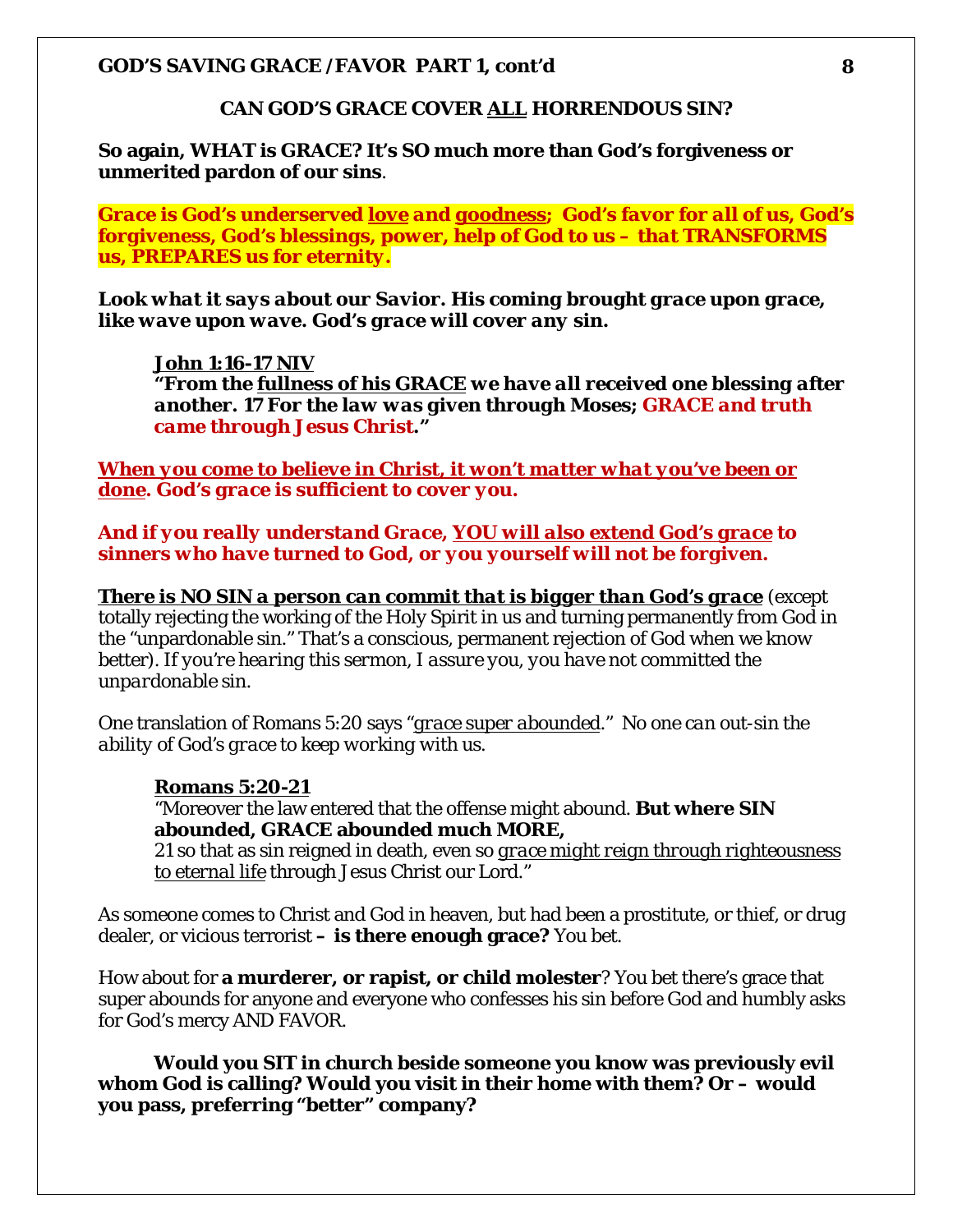#### **CAN GOD'S GRACE COVER** *ALL* **HORRENDOUS SIN?**

**So again, WHAT is GRACE? It's SO much more than God's forgiveness or unmerited pardon of our sins**.

*Grace is God's underserved love and goodness; God's favor for all of us, God's forgiveness, God's blessings, power, help of God to us – that TRANSFORMS us, PREPARES us for eternity.*

*Look what it says about our Savior. His coming brought grace upon grace, like wave upon wave. God's grace will cover any sin.* 

#### *John 1:16-17 NIV*

*"From the fullness of his GRACE we have all received one blessing after another. 17 For the law was given through Moses; GRACE and truth came through Jesus Christ."*

*When you come to believe in Christ, it won't matter what you've been or done. God's grace is sufficient to cover you.* 

*And if you really understand Grace, YOU will also extend God's grace to sinners who have turned to God, or you yourself will not be forgiven.* 

*There is NO SIN a person can commit that is bigger than God's grace* (except totally rejecting the working of the Holy Spirit in us and turning permanently from God in the "unpardonable sin." That's a conscious, permanent rejection of God when we know better*). If you're hearing this sermon, I assure you, you have not committed the unpardonable sin.* 

One translation of Romans 5:20 says "*grace super abounded*." *No one can out-sin the ability of God's grace to keep working with us.* 

#### **Romans 5:20-21**

"Moreover the law entered that the offense might abound. **But where SIN abounded, GRACE abounded much MORE,** 

21 so that as sin reigned in death, even so *grace might reign through righteousness to eternal life* through Jesus Christ our Lord."

As someone comes to Christ and God in heaven, but had been a prostitute, or thief, or drug dealer, or vicious terrorist **– is there enough grace?** You bet.

How about for **a murderer, or rapist, or child molester**? You bet there's grace that super abounds for anyone and everyone who confesses his sin before God and humbly asks for God's mercy AND FAVOR.

**Would you SIT in church beside someone you know was previously evil whom God is calling? Would you visit in their home with them? Or – would you pass, preferring "better" company?**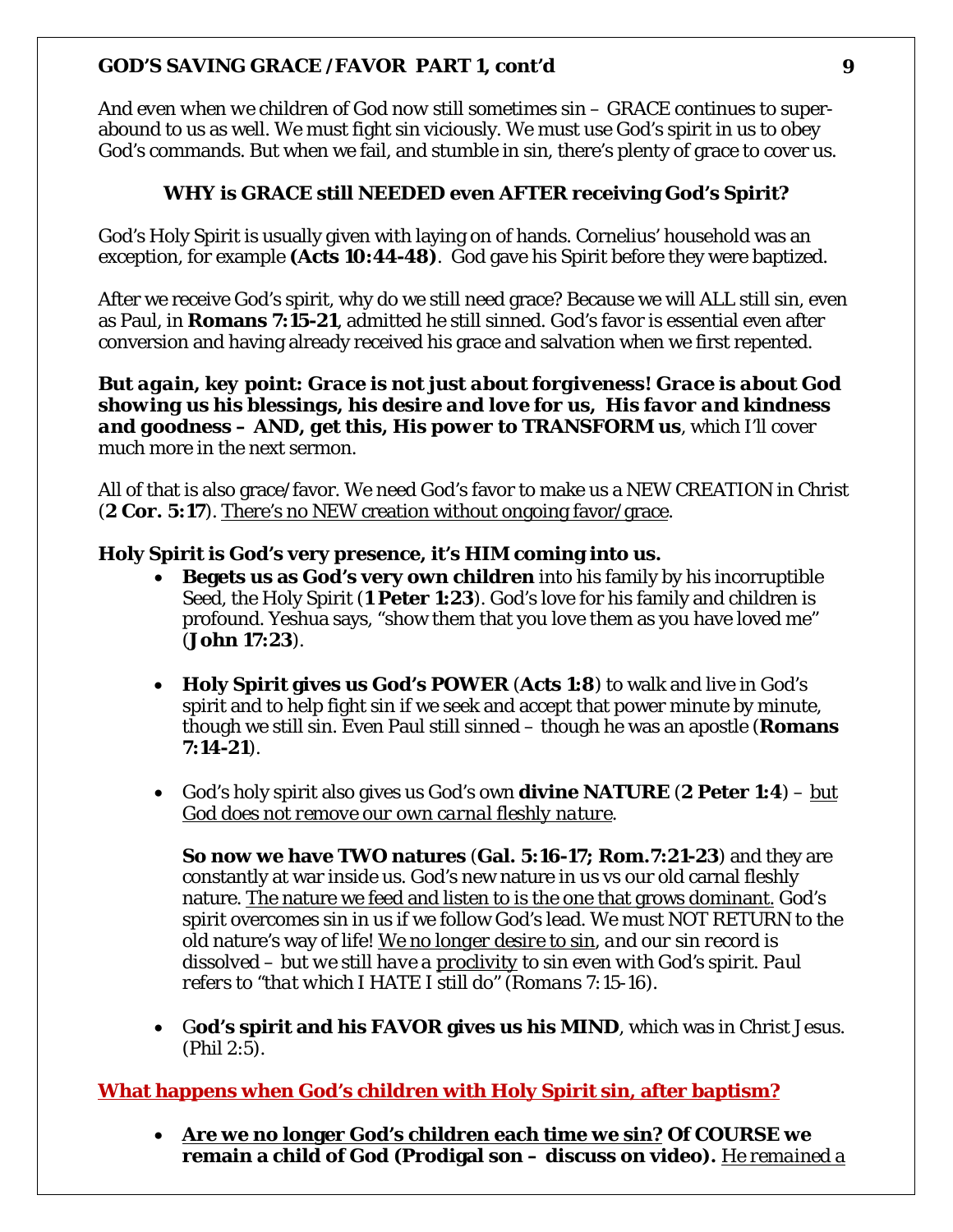*And even when we children of God now still sometimes sin – GRACE* continues to superabound to us as well. We must fight sin viciously. We must use God's spirit in us to obey God's commands. But when we fail, and stumble in sin, there's plenty of grace to cover us.

# **WHY is GRACE still NEEDED even AFTER receiving God's Spirit?**

God's Holy Spirit is usually given with laying on of hands. Cornelius' household was an exception, for example **(Acts 10:44-48)**. God gave his Spirit before they were baptized.

After we receive God's spirit, why do we still need grace? Because we will ALL still sin, even as Paul, in **Romans 7:15-21**, admitted he still sinned. God's favor is essential even after conversion and having already received his grace and salvation when we first repented.

*But again, key point: Grace is not just about forgiveness! Grace is about God showing us his blessings, his desire and love for us, His favor and kindness and goodness – AND, get this, His power to TRANSFORM us*, which I'll cover much more in the next sermon.

All of that is also grace/favor. We need God's favor to make us a NEW CREATION in Christ (**2 Cor. 5:17**). There's no NEW creation without ongoing favor/grace.

# **Holy Spirit is God's very presence, it's HIM coming into us.**

- **Begets us as God's very own children** into his family by his incorruptible Seed, the Holy Spirit (**1 Peter 1:23**). God's love for his family and children is profound. Yeshua says, "show them that you love them as you have loved me" (**John 17:23**).
- **Holy Spirit gives us God's POWER** (**Acts 1:8**) to walk and live in God's spirit and to help fight sin if we seek and accept that power minute by minute, though we still sin. Even Paul still sinned – though he was an apostle (**Romans 7:14-21**).
- God's holy spirit also gives us God's own **divine NATURE** (**2 Peter 1:4**) *but God does not remove our own carnal fleshly nature*.

**So now we have TWO natures** (**Gal. 5:16-17; Rom.7:21-23**) and they are constantly at war inside us. God's new nature in us vs our old carnal fleshly nature. The nature we feed and listen to is the one that grows dominant. God's spirit overcomes sin in us if we follow God's lead. We must NOT RETURN to the old nature's way of life! *We no longer desire to sin, and our sin record is dissolved – but we still have a proclivity to sin even with God's spirit. Paul refers to "that which I HATE I still do" (Romans 7:15-16).* 

• G**od's spirit and his FAVOR gives us his MIND**, which was in Christ Jesus. (Phil 2:5).

# **What happens when God's children with Holy Spirit sin, after baptism?**

• **Are we no longer God's children each time we sin? Of COURSE we remain a child of God (Prodigal son – discuss on video).** *He remained a*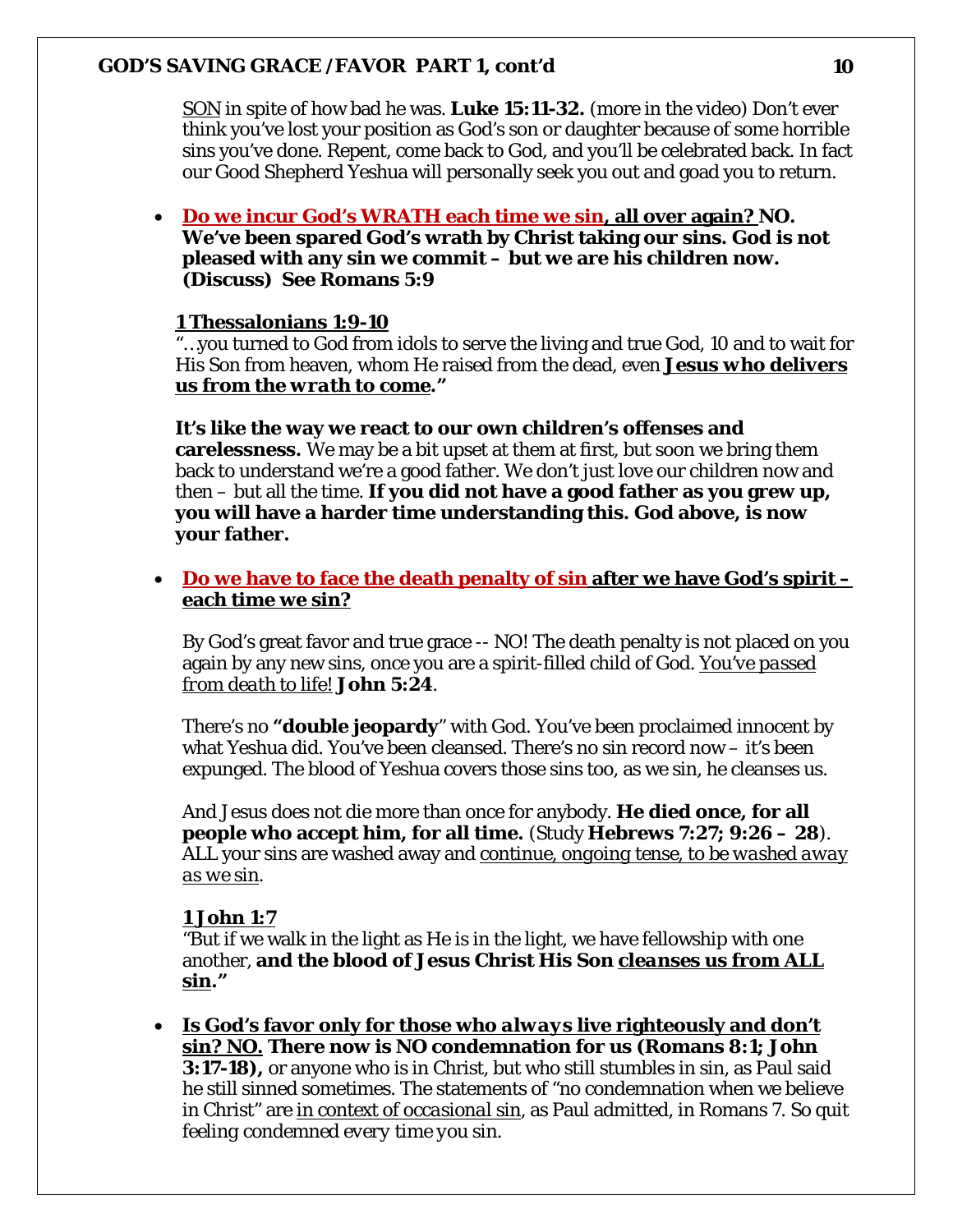*SON* in spite of how bad he was. **Luke 15:11-32.** (more in the video) Don't ever think you've lost your position as God's son or daughter because of some horrible sins you've done. Repent, come back to God, and you'll be celebrated back. In fact our Good Shepherd Yeshua will personally seek you out and goad you to return.

• **Do we incur God's WRATH each time we sin, all over again? NO. We've been spared God's wrath by Christ taking our sins. God is not pleased with any sin we commit – but we are his children now. (Discuss) See Romans 5:9** 

# **1 Thessalonians 1:9-10**

"…you turned to God from idols to serve the living and true God, 10 and to wait for His Son from heaven, whom He raised from the dead, even *Jesus who delivers us from the wrath to come***."**

#### **It's like the way we react to our own children's offenses and**

**carelessness.** We may be a bit upset at them at first, but soon we bring them back to understand we're a good father. We don't just love our children now and then – but all the time. **If you did not have a good father as you grew up, you will have a harder time understanding this. God above, is now your father.** 

• **Do we have to face the death penalty of sin after we have God's spirit – each time we sin?** 

By God's great favor and true grace -- NO! The death penalty is not placed on you again by any new sins, once you are a spirit-filled child of God. *You've passed from death to life!* **John 5:24**.

There's no **"double jeopardy**" with God. You've been proclaimed innocent by what Yeshua did. You've been cleansed. There's no sin record now – it's been expunged. The blood of Yeshua covers those sins too, as we sin, he cleanses us.

And Jesus does not die more than once for anybody. **He died once, for all people who accept him, for all time.** (Study **Hebrews 7:27; 9:26 – 28**). ALL your sins are washed away and *continue, ongoing tense, to be washed away as we sin*.

# **1 John 1:7**

"But if we walk in the light as He is in the light, we have fellowship with one another, **and the blood of Jesus Christ His Son** *cleanses* **us from ALL sin."**

• **Is God's favor only for those who** *always* **live righteously and don't sin? NO. There now is NO condemnation for us (Romans 8:1; John 3:17-18),** or anyone who is in Christ, but who still stumbles in sin, as Paul said he still sinned sometimes. The statements of "no condemnation when we believe in Christ" are *in context of occasional sin*, as Paul admitted, in Romans 7. *So quit feeling condemned every time you sin.*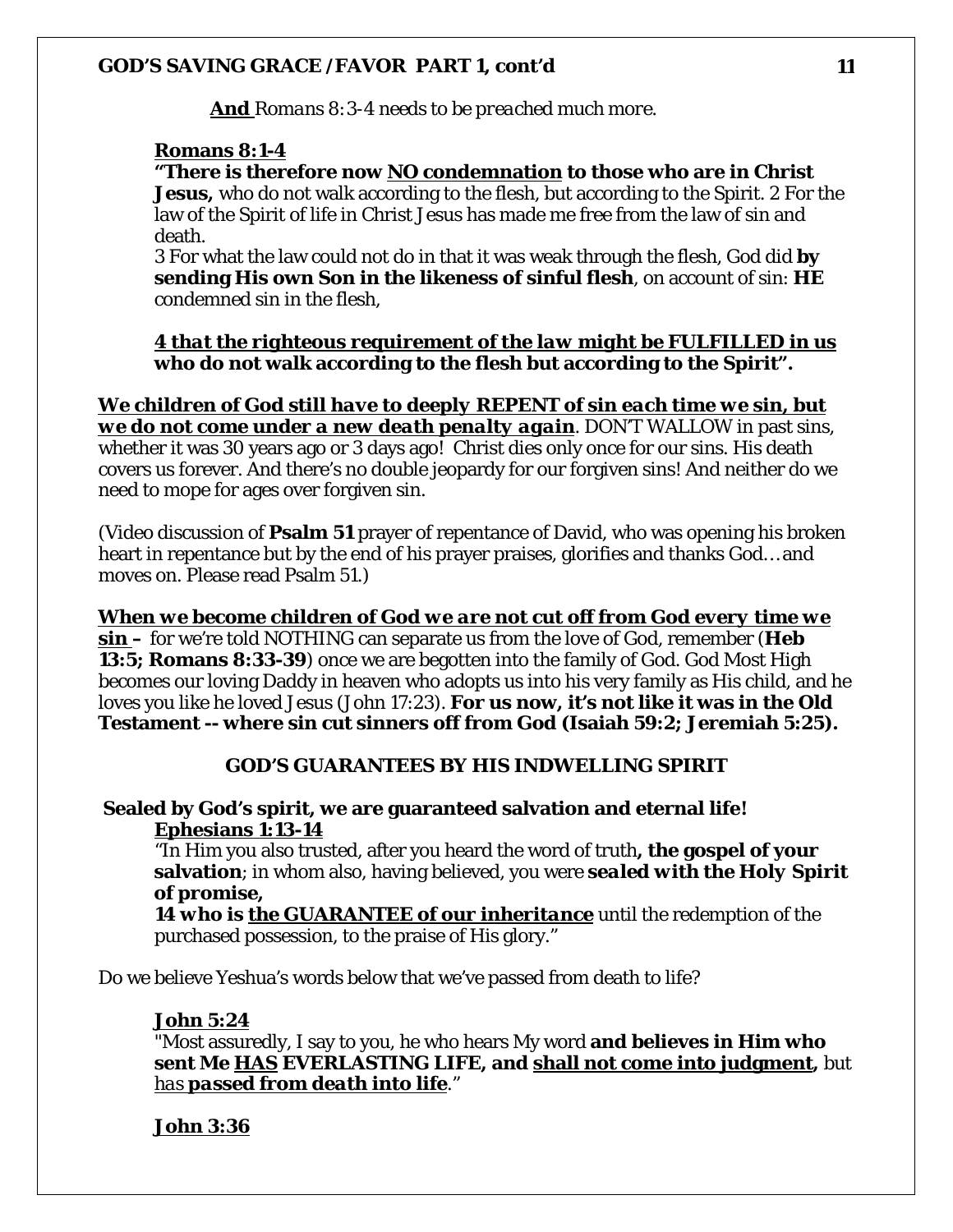**And** *Romans 8:3-4 needs to be preached much more.* 

# **Romans 8:1-4**

**"There is therefore now NO condemnation to those who are in Christ** 

**Jesus,** who do not walk according to the flesh, but according to the Spirit. 2 For the law of the Spirit of life in Christ Jesus has made me free from the law of sin and death.

3 For what the law could not do in that it was weak through the flesh, God did **by sending His own Son in the likeness of sinful flesh**, on account of sin: **HE** condemned sin in the flesh,

# *4 that the righteous requirement of the law might be FULFILLED in us* **who do not walk according to the flesh but according to the Spirit".**

*We children of God still have to deeply REPENT of sin each time we sin, but we do not come under a new death penalty again*. DON'T WALLOW in past sins, whether it was 30 years ago or 3 days ago! Christ dies only once for our sins. His death covers us forever. And there's no double jeopardy for our forgiven sins! And neither do we need to mope for ages over forgiven sin.

(Video discussion of **Psalm 51** prayer of repentance of David, who was opening his broken heart in repentance but by the end of his prayer praises, glorifies and thanks God… and moves on. Please read Psalm 51.)

*When we become children of God we are not cut off from God every time we sin* **–** for we're told NOTHING can separate us from the love of God, remember (**Heb 13:5; Romans 8:33-39**) once we are begotten into the family of God. God Most High becomes our loving Daddy in heaven who adopts us into his very family as His child, and he loves you like he loved Jesus (John 17:23). **For us now, it's not like it was in the Old Testament -- where sin cut sinners off from God (Isaiah 59:2; Jeremiah 5:25).**

# **GOD'S GUARANTEES BY HIS INDWELLING SPIRIT**

# **Sealed by God's spirit, we are guaranteed salvation and eternal life! Ephesians 1:13-14**

"In Him you also trusted, after you heard the word of truth**, the gospel of your salvation**; in whom also, having believed, you were *sealed with the Holy Spirit of promise,* 

*14 who is the GUARANTEE of our inheritance* until the redemption of the purchased possession, to the praise of His glory."

Do we believe Yeshua's words below that we've passed from death to life?

# **John 5:24**

"Most assuredly, I say to you, he who hears My word **and believes in Him who sent Me HAS EVERLASTING LIFE, and shall not come into judgment,** but *has passed from death into life*."

# **John 3:36**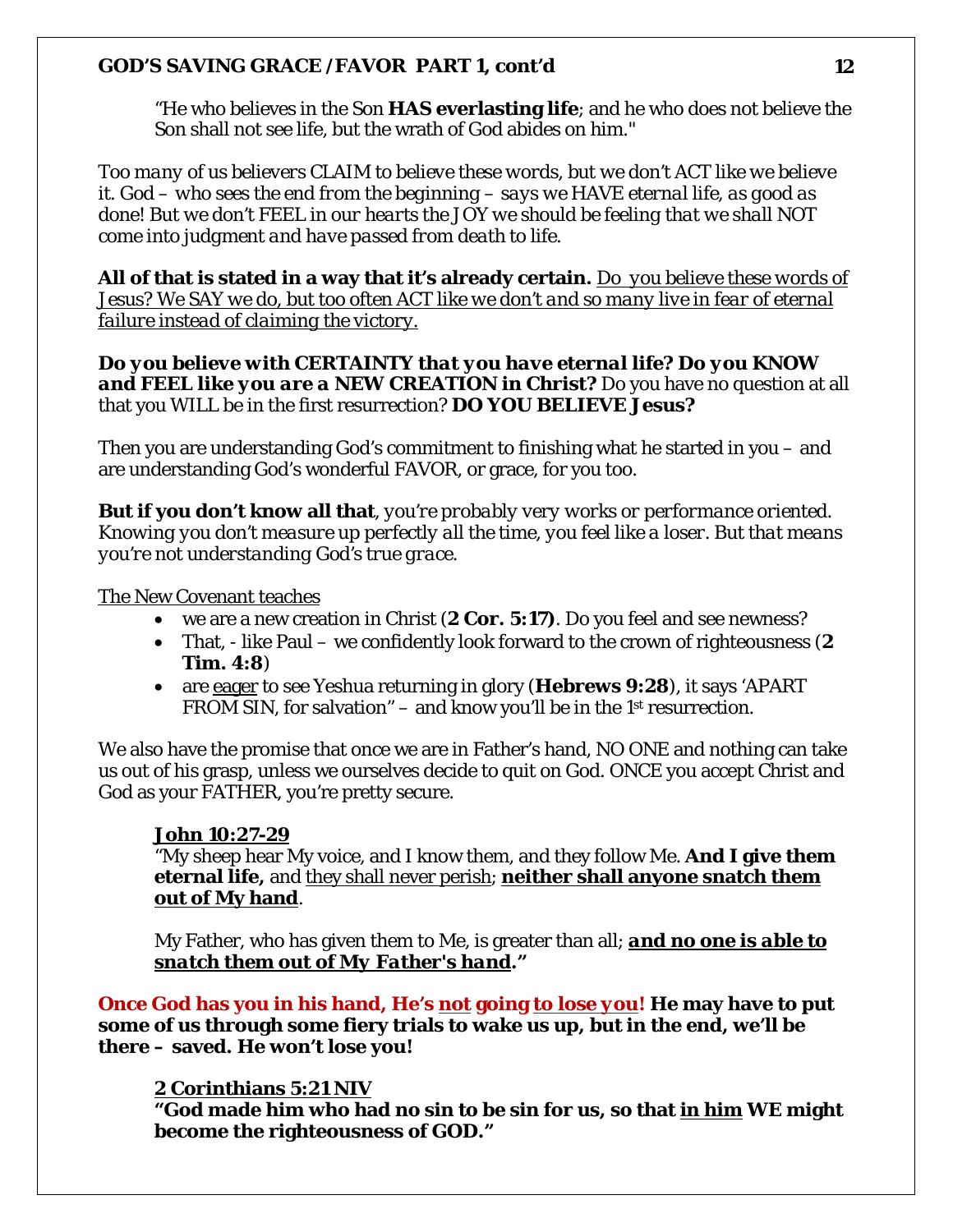"He who believes in the Son **HAS everlasting life**; and he who does not believe the Son shall not see life, but the wrath of God abides on him."

*Too many of us believers CLAIM to believe these words, but we don't ACT like we believe it. God – who sees the end from the beginning – says we HAVE eternal life, as good as done! But we don't FEEL in our hearts the JOY we should be feeling that we shall NOT come into judgment and have passed from death to life.* 

**All of that is stated in a way that it's already certain.** *Do you believe these words of Jesus? We SAY we do, but too often ACT like we don't and so many live in fear of eternal failure instead of claiming the victory.* 

*Do you believe with CERTAINTY that you have eternal life? Do you KNOW and FEEL like you are a NEW CREATION in Christ?* Do you have no question at all that you WILL be in the first resurrection? **DO YOU BELIEVE Jesus?**

Then you are understanding God's commitment to finishing what he started in you – and are understanding God's wonderful FAVOR, or grace, for you too.

**But if you don't know all that***, you're probably very works or performance oriented. Knowing you don't measure up perfectly all the time, you feel like a loser. But that means you're not understanding God's true grace.*

# The New Covenant teaches

- we are a new creation in Christ (**2 Cor. 5:17)**. Do you feel and see newness?
- That, like Paul we confidently look forward to the crown of righteousness (**2 Tim. 4:8**)
- are eager to see Yeshua returning in glory (**Hebrews 9:28**), it says 'APART FROM SIN, for salvation" – and know you'll be in the 1<sup>st</sup> resurrection.

We also have the promise that once we are in Father's hand, NO ONE and nothing can take us out of his grasp, unless we ourselves decide to quit on God. ONCE you accept Christ and God as your FATHER, you're pretty secure.

# **John 10:27-29**

"My sheep hear My voice, and I know them, and they follow Me. **And I give them eternal life,** and they shall never perish; **neither shall anyone snatch them out of My hand**.

My Father, who has given them to Me, is greater than all; *and no one is able to snatch them out of My Father's hand***."**

**Once God has you in his hand, He's** *not* **going** *to lose you***! He may have to put some of us through some fiery trials to wake us up, but in the end, we'll be there – saved. He won't lose you!**

# **2 Corinthians 5:21 NIV**

**"God made him who had no sin to be sin for us, so that in him WE might become the righteousness of GOD."**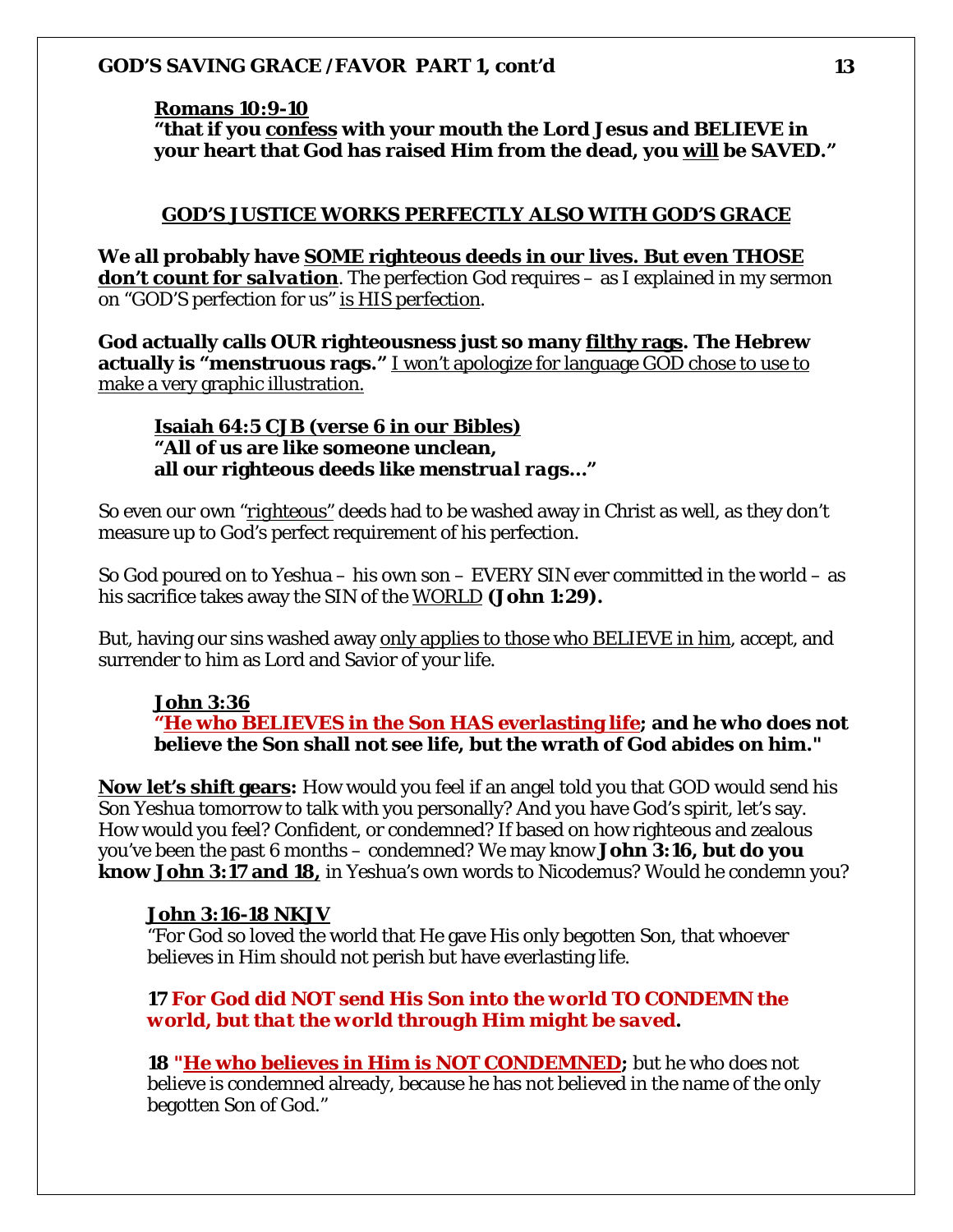# **Romans 10:9-10**

**"that if you** *confess* **with your mouth the Lord Jesus and BELIEVE in your heart that God has raised Him from the dead, you will be SAVED."**

#### **GOD'S JUSTICE WORKS PERFECTLY ALSO WITH GOD'S GRACE**

**We all probably have SOME righteous deeds in our lives.** *But even THOSE don't count for salvation*. The perfection *God* requires – as I explained in my sermon on "GOD'S perfection for us" *is HIS perfection*.

**God actually calls OUR righteousness just so many filthy rags. The Hebrew actually is "menstruous rags."** I won't apologize for language GOD chose to use to make a very graphic illustration.

**Isaiah 64:5 CJB (verse 6 in our Bibles) "All of us are like someone unclean, all our righteous deeds like** *menstrual rags***…"**

So even *our* own "*righteous"* deeds had to be washed away in Christ as well, as they don't measure up to God's perfect requirement of his perfection.

So God poured on to Yeshua – his own son – EVERY SIN ever committed in the world – as his sacrifice takes away the SIN of the *WORLD* **(John 1:29).** 

But, having our sins washed away only applies to those who BELIEVE in him, accept, and surrender to him as Lord and Savior of your life.

# **John 3:36**

**"He who BELIEVES in the Son HAS everlasting life; and he who does not believe the Son shall not see life, but the wrath of God abides on him."** 

**Now let's shift gears:** How would you feel if an angel told you that GOD would send his Son Yeshua tomorrow to talk with you personally? And you have God's spirit, let's say. How would you feel? Confident, or condemned? If based on how righteous and zealous you've been the past 6 months – condemned? We may know **John 3:16, but do you know John 3:17 and 18,** in Yeshua's own words to Nicodemus? Would he condemn you?

#### **John 3:16-18 NKJV**

"For God so loved the world that He gave His only begotten Son, that whoever believes in Him should not perish but have everlasting life.

# **17** *For God did NOT send His Son into the world TO CONDEMN the world, but that the world through Him might be saved***.**

**18 "He who believes in Him is NOT CONDEMNED;** but he who does not believe is condemned already, because he has not believed in the name of the only begotten Son of God."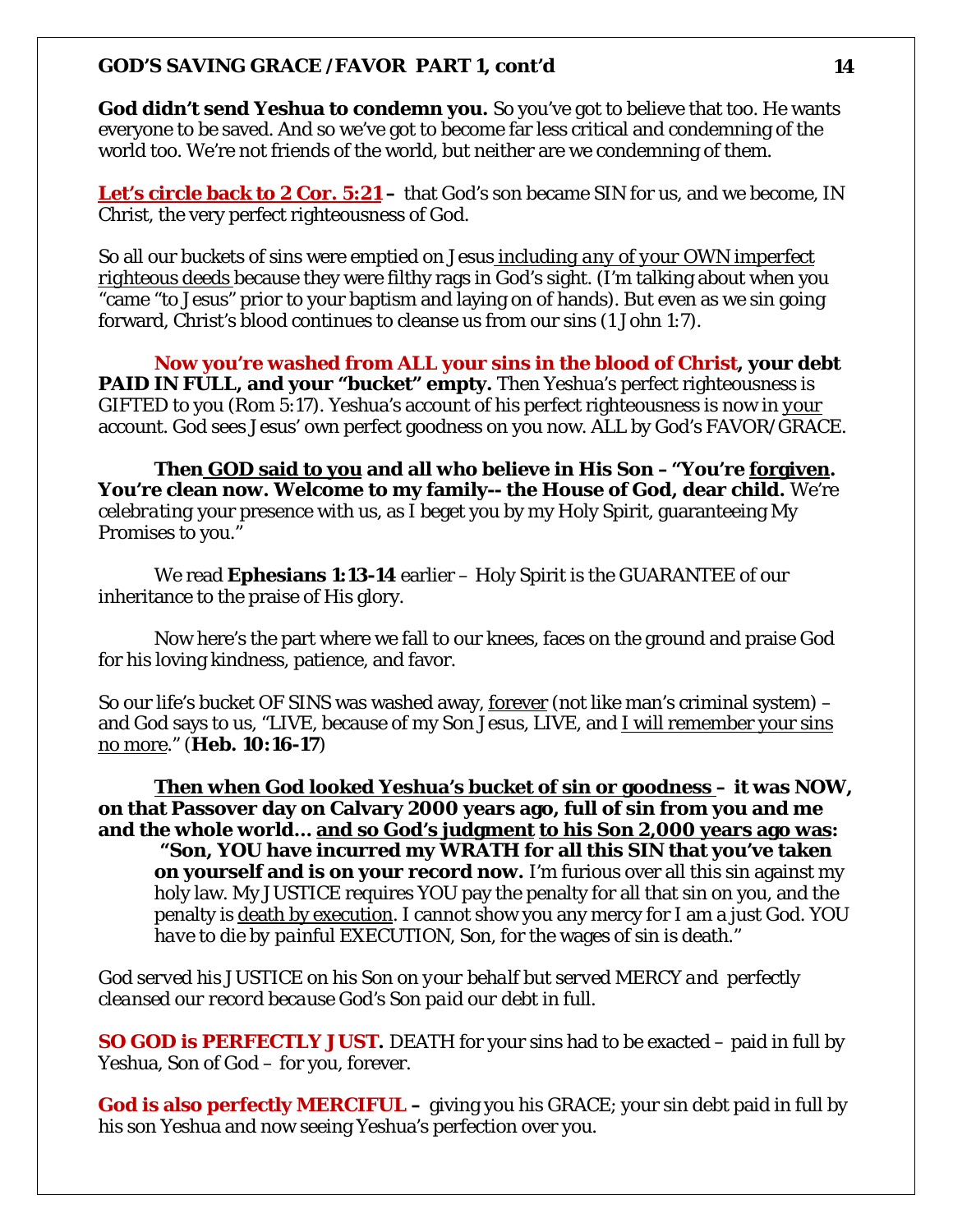**God didn't send Yeshua to condemn you.** So you've got to believe that too. He wants everyone to be saved. And so we've got to become far less critical and condemning of the world too. We're not friends of the world, but neither are we condemning of them.

**Let's circle back to 2 Cor. 5:21** – that God's son became SIN for us, and we become, IN Christ, the very perfect righteousness of God.

So all our buckets of sins were emptied on Jesus *including any of your OWN imperfect righteous deeds* because they were filthy rags in God's sight. (I'm talking about when you "came "to Jesus" prior to your baptism and laying on of hands). But even as we sin going forward, Christ's blood continues to cleanse us from our sins (1 John 1:7).

**Now you're washed from ALL your sins in the blood of Christ, your debt PAID IN FULL, and your "bucket" empty.** Then Yeshua's perfect righteousness is GIFTED to you (Rom 5:17). Yeshua's account of his perfect righteousness is now in *your* account. God sees Jesus' own perfect goodness on you now. ALL by God's FAVOR/GRACE.

**Then GOD said to you and all who believe in His Son –"You're forgiven. You're clean now. Welcome to my family-- the House of God, dear child.** We're *celebrating* your presence with us, as I beget you by my Holy Spirit, guaranteeing My Promises to you."

We read **Ephesians 1:13-14** earlier – Holy Spirit is the GUARANTEE of our inheritance to the praise of His glory.

Now here's the part where we fall to our knees, faces on the ground and praise God for his loving kindness, patience, and favor.

So our life's bucket OF SINS was washed away, forever (not like man's criminal system) – and God says to us, "LIVE, because of my Son Jesus, LIVE, and I will remember your sins no more." (**Heb. 10:16-17**)

**Then when God looked Yeshua's bucket of sin or goodness – it was NOW, on that Passover day on Calvary 2000 years ago, full of sin from you and me and the whole world… and so God's judgment to his Son 2,000 years ago was: "Son, YOU have incurred my WRATH for all this SIN that you've taken on yourself and is on your record now.** I'm furious over all this sin against my holy law. My JUSTICE requires YOU pay the penalty for all that sin on you, and the penalty is death by execution. I cannot show you any mercy for I am a just God. *YOU have to die by painful EXECUTION, Son*, for the wages of sin is death."

*God served his JUSTICE on his Son on your behalf but served MERCY and perfectly cleansed our record because God's Son paid our debt in full.* 

**SO GOD is PERFECTLY JUST.** DEATH for your sins had to be exacted – paid in full by Yeshua, Son of God – for you, forever.

**God is also perfectly MERCIFUL –** giving you his GRACE; your sin debt paid in full by his son Yeshua and now seeing Yeshua's perfection over you.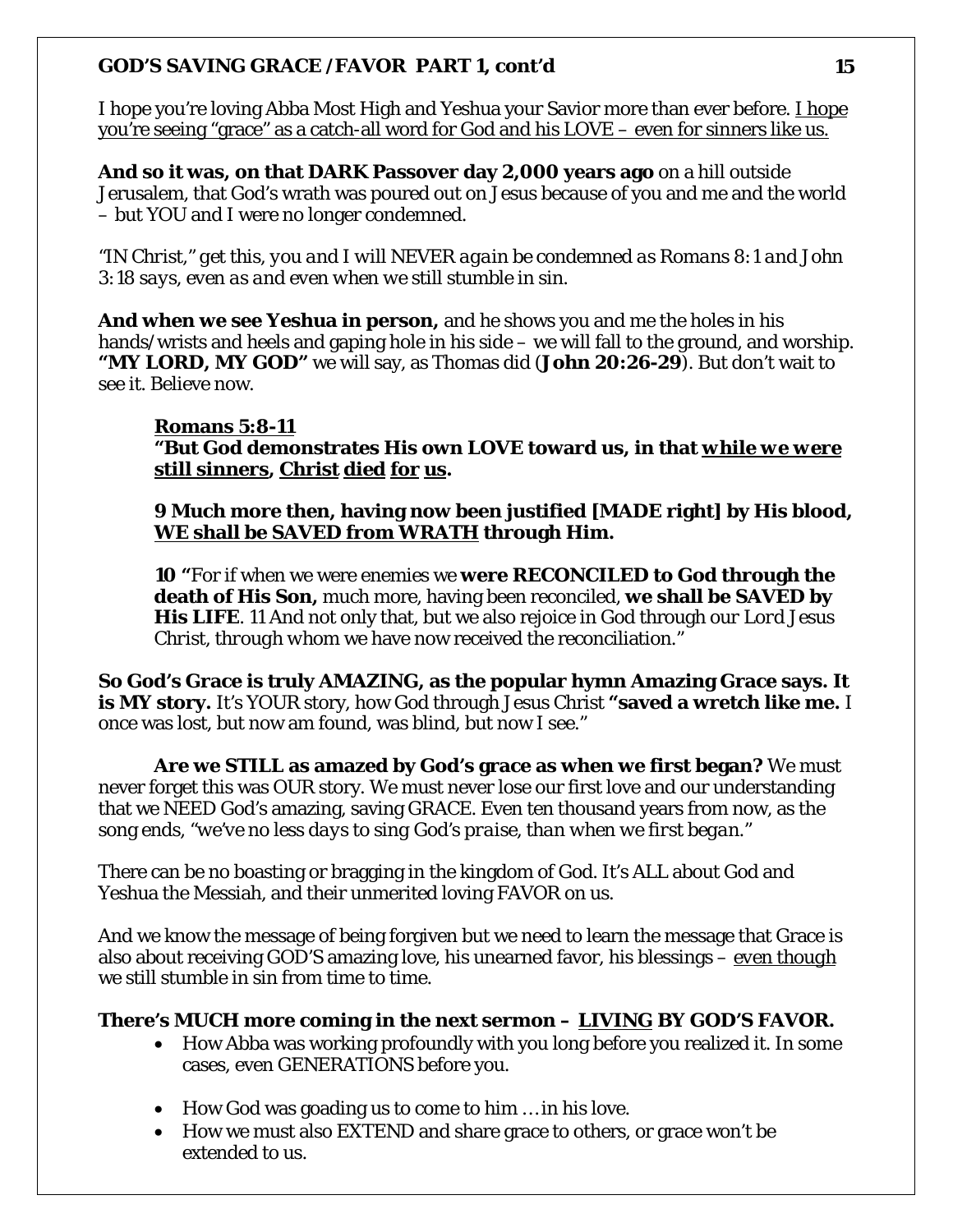I hope you're loving Abba Most High and Yeshua your Savior more than ever before. I hope you're seeing "grace" as a catch-all word for God and his LOVE – even for sinners like us.

**And so it was, on that DARK Passover day 2,000 years ago** on a hill outside Jerusalem, that God's wrath was poured out on Jesus because of you and me and the world – but YOU and I were no longer condemned.

*"IN Christ," get this, you and I will NEVER again be condemned as Romans 8:1 and John 3:18 says, even as and even when we still stumble in sin.* 

**And when we see Yeshua in person,** and he shows you and me the holes in his hands/wrists and heels and gaping hole in his side – we will fall to the ground, and worship. **"MY LORD, MY GOD"** we will say, as Thomas did (**John 20:26-29**). But don't wait to see it. Believe now.

# **Romans 5:8-11**

**"But God demonstrates His own LOVE toward us, in that** *while we were still sinners***, Christ died for us.** 

**9 Much more then, having now been justified [MADE right] by His blood, WE shall be SAVED from WRATH through Him.** 

**10 "**For if when we were enemies we **were RECONCILED to God through the death of His Son,** much more, having been reconciled, **we shall be SAVED by His LIFE**. 11 And not only that, but we also rejoice in God through *our Lord Jesus Christ, through whom* we have now received the reconciliation."

**So God's Grace is truly AMAZING, as the popular hymn Amazing Grace says. It is MY story.** It's YOUR story, how God through Jesus Christ **"saved a wretch like me.** I once was lost, but now am found, was blind, but now I see."

**Are we STILL as amazed by God's grace as when we first began?** We must never forget this was OUR story. We must never lose our first love and our understanding that we NEED God's amazing, saving GRACE. Even ten thousand years from now, as the song ends, *"we've no less days to sing God's praise, than when we first began."*

There can be no boasting or bragging in the kingdom of God. It's ALL about God and Yeshua the Messiah, and their unmerited loving FAVOR on us.

And we know the message of being forgiven but we need to learn the message that Grace is also about receiving GOD'S amazing love, his unearned favor, his blessings – *even though* we still stumble in sin from time to time.

# **There's MUCH more coming in the next sermon –** *LIVING* **BY GOD'S FAVOR.**

- How Abba was working profoundly with you long before you realized it. In some cases, even GENERATIONS before you.
- How God was goading us to come to him ... in his love.
- How we must also EXTEND and share grace to others, or grace won't be extended to us.